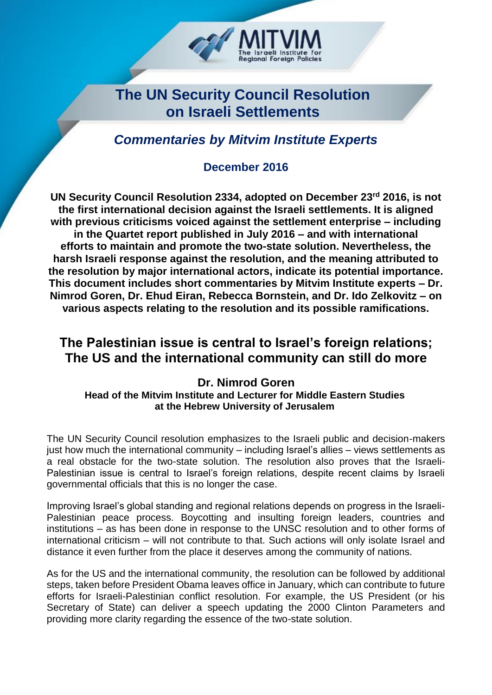

# **The UN Security Council Resolution on Israeli Settlements**

*Commentaries by Mitvim Institute Experts*

### **December 2016**

**UN Security Council Resolution 2334, adopted on December 23rd 2016, is not the first international decision against the Israeli settlements. It is aligned with previous criticisms voiced against the settlement enterprise – including in the Quartet report published in July 2016 – and with international efforts to maintain and promote the two-state solution. Nevertheless, the harsh Israeli response against the resolution, and the meaning attributed to the resolution by major international actors, indicate its potential importance. This document includes short commentaries by Mitvim Institute experts – Dr. Nimrod Goren, Dr. Ehud Eiran, Rebecca Bornstein, and Dr. Ido Zelkovitz – on various aspects relating to the resolution and its possible ramifications.** 

## **The Palestinian issue is central to Israel's foreign relations; The US and the international community can still do more**

#### **Dr. Nimrod Goren Head of the Mitvim Institute and Lecturer for Middle Eastern Studies at the Hebrew University of Jerusalem**

The UN Security Council resolution emphasizes to the Israeli public and decision-makers just how much the international community – including Israel's allies – views settlements as a real obstacle for the two-state solution. The resolution also proves that the Israeli-Palestinian issue is central to Israel's foreign relations, despite recent claims by Israeli governmental officials that this is no longer the case.

Improving Israel's global standing and regional relations depends on progress in the Israeli-Palestinian peace process. Boycotting and insulting foreign leaders, countries and institutions – as has been done in response to the UNSC resolution and to other forms of international criticism – will not contribute to that. Such actions will only isolate Israel and distance it even further from the place it deserves among the community of nations.

As for the US and the international community, the resolution can be followed by additional steps, taken before President Obama leaves office in January, which can contribute to future efforts for Israeli-Palestinian conflict resolution. For example, the US President (or his Secretary of State) can deliver a speech updating the 2000 Clinton Parameters and providing more clarity regarding the essence of the two-state solution.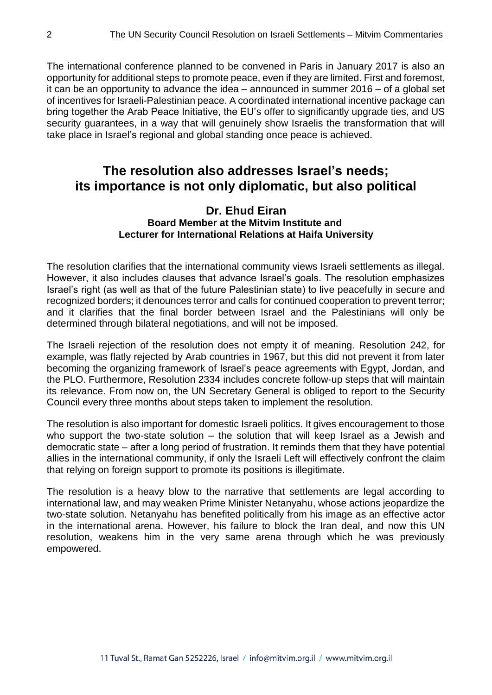The international conference planned to be convened in Paris in January 2017 is also an opportunity for additional steps to promote peace, even if they are limited. First and foremost, it can be an opportunity to advance the idea – announced in summer 2016 – of a global set of incentives for Israeli-Palestinian peace. A coordinated international incentive package can bring together the Arab Peace Initiative, the EU's offer to significantly upgrade ties, and US security guarantees, in a way that will genuinely show Israelis the transformation that will take place in Israel's regional and global standing once peace is achieved.

### **The resolution also addresses Israel's needs; its importance is not only diplomatic, but also political**

#### **Dr. Ehud Eiran Board Member at the Mitvim Institute and Lecturer for International Relations at Haifa University**

The resolution clarifies that the international community views Israeli settlements as illegal. However, it also includes clauses that advance Israel's goals. The resolution emphasizes Israel's right (as well as that of the future Palestinian state) to live peacefully in secure and recognized borders; it denounces terror and calls for continued cooperation to prevent terror; and it clarifies that the final border between Israel and the Palestinians will only be determined through bilateral negotiations, and will not be imposed.

The Israeli rejection of the resolution does not empty it of meaning. Resolution 242, for example, was flatly rejected by Arab countries in 1967, but this did not prevent it from later becoming the organizing framework of Israel's peace agreements with Egypt, Jordan, and the PLO. Furthermore, Resolution 2334 includes concrete follow-up steps that will maintain its relevance. From now on, the UN Secretary General is obliged to report to the Security Council every three months about steps taken to implement the resolution.

The resolution is also important for domestic Israeli politics. It gives encouragement to those who support the two-state solution – the solution that will keep Israel as a Jewish and democratic state – after a long period of frustration. It reminds them that they have potential allies in the international community, if only the Israeli Left will effectively confront the claim that relying on foreign support to promote its positions is illegitimate.

The resolution is a heavy blow to the narrative that settlements are legal according to international law, and may weaken Prime Minister Netanyahu, whose actions jeopardize the two-state solution. Netanyahu has benefited politically from his image as an effective actor in the international arena. However, his failure to block the Iran deal, and now this UN resolution, weakens him in the very same arena through which he was previously empowered.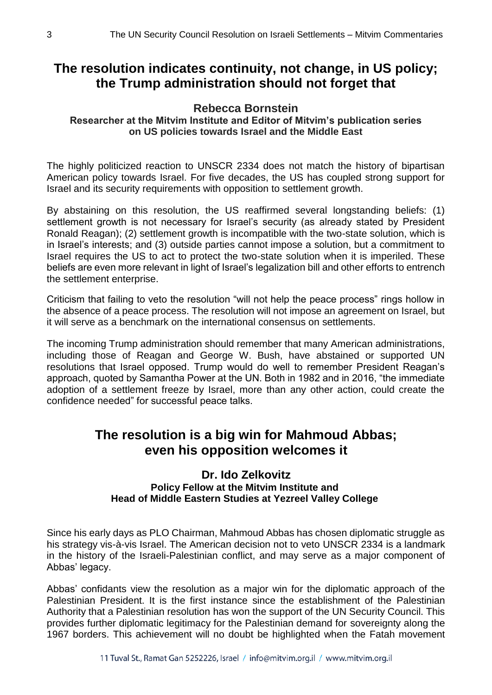### **The resolution indicates continuity, not change, in US policy; the Trump administration should not forget that**

### **Rebecca Bornstein**

**Researcher at the Mitvim Institute and Editor of Mitvim's publication series on US policies towards Israel and the Middle East**

The highly politicized reaction to UNSCR 2334 does not match the history of bipartisan American policy towards Israel. For five decades, the US has coupled strong support for Israel and its security requirements with opposition to settlement growth.

By abstaining on this resolution, the US reaffirmed several longstanding beliefs: (1) settlement growth is not necessary for Israel's security (as already stated by President Ronald Reagan); (2) settlement growth is incompatible with the two-state solution, which is in Israel's interests; and (3) outside parties cannot impose a solution, but a commitment to Israel requires the US to act to protect the two-state solution when it is imperiled. These beliefs are even more relevant in light of Israel's legalization bill and other efforts to entrench the settlement enterprise.

Criticism that failing to veto the resolution "will not help the peace process" rings hollow in the absence of a peace process. The resolution will not impose an agreement on Israel, but it will serve as a benchmark on the international consensus on settlements.

The incoming Trump administration should remember that many American administrations, including those of Reagan and George W. Bush, have abstained or supported UN resolutions that Israel opposed. Trump would do well to remember President Reagan's approach, quoted by Samantha Power at the UN. Both in 1982 and in 2016, "the immediate adoption of a settlement freeze by Israel, more than any other action, could create the confidence needed" for successful peace talks.

## **The resolution is a big win for Mahmoud Abbas; even his opposition welcomes it**

#### **Dr. Ido Zelkovitz Policy Fellow at the Mitvim Institute and Head of Middle Eastern Studies at Yezreel Valley College**

Since his early days as PLO Chairman, Mahmoud Abbas has chosen diplomatic struggle as his strategy vis-à-vis Israel. The American decision not to veto UNSCR 2334 is a landmark in the history of the Israeli-Palestinian conflict, and may serve as a major component of Abbas' legacy.

Abbas' confidants view the resolution as a major win for the diplomatic approach of the Palestinian President. It is the first instance since the establishment of the Palestinian Authority that a Palestinian resolution has won the support of the UN Security Council. This provides further diplomatic legitimacy for the Palestinian demand for sovereignty along the 1967 borders. This achievement will no doubt be highlighted when the Fatah movement